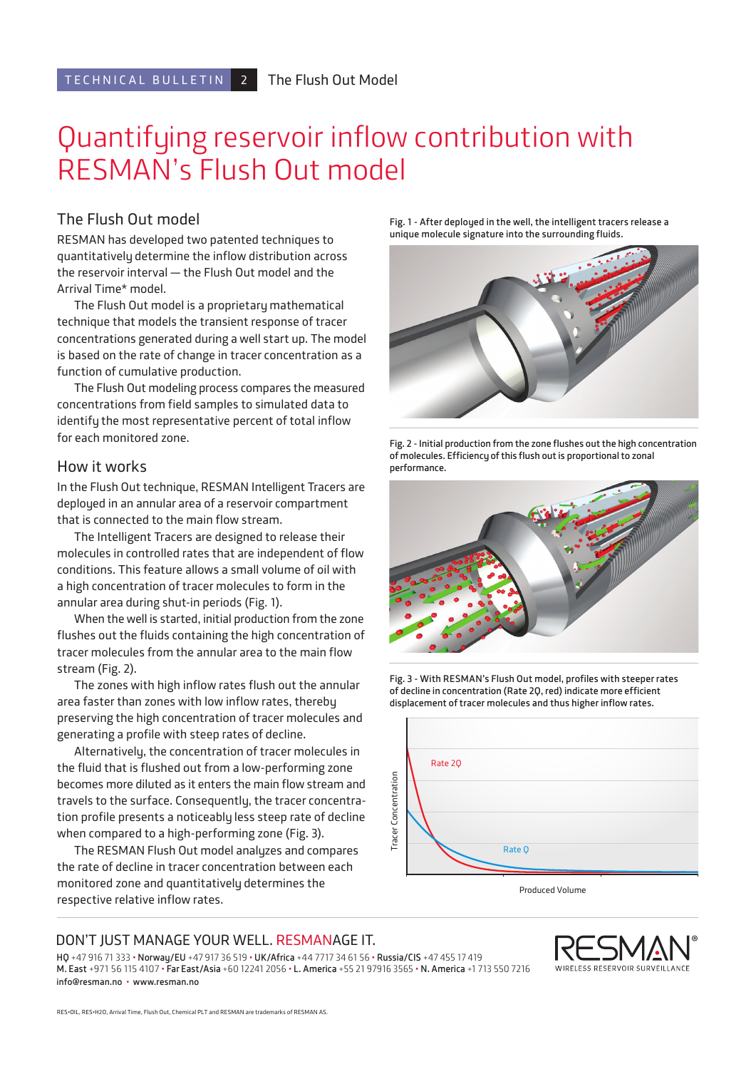# Quantifying reservoir inflow contribution with RESMAN's Flush Out model

### The Flush Out model

RESMAN has developed two patented techniques to quantitatively determine the inflow distribution across the reservoir interval — the Flush Out model and the Arrival Time\* model.

The Flush Out model is a proprietary mathematical technique that models the transient response of tracer concentrations generated during a well start up. The model is based on the rate of change in tracer concentration as a function of cumulative production.

The Flush Out modeling process compares the measured concentrations from field samples to simulated data to identify the most representative percent of total inflow for each monitored zone.

### How it works

In the Flush Out technique, RESMAN Intelligent Tracers are deployed in an annular area of a reservoir compartment that is connected to the main flow stream.

The Intelligent Tracers are designed to release their molecules in controlled rates that are independent of flow conditions. This feature allows a small volume of oil with a high concentration of tracer molecules to form in the annular area during shut-in periods (Fig. 1).

When the well is started, initial production from the zone flushes out the fluids containing the high concentration of tracer molecules from the annular area to the main flow stream (Fig. 2).

The zones with high inflow rates flush out the annular area faster than zones with low inflow rates, thereby preserving the high concentration of tracer molecules and generating a profile with steep rates of decline.

Alternatively, the concentration of tracer molecules in the fluid that is flushed out from a low-performing zone becomes more diluted as it enters the main flow stream and travels to the surface. Consequently, the tracer concentration profile presents a noticeably less steep rate of decline when compared to a high-performing zone (Fig. 3).

The RESMAN Flush Out model analyzes and compares the rate of decline in tracer concentration between each monitored zone and quantitatively determines the respective relative inflow rates.

**Fig. 1 - After deployed in the well, the intelligent tracers release a unique molecule signature into the surrounding fluids.** 



**Fig. 2 - Initial production from the zone flushes out the high concentration of molecules. Efficiency of this flush out is proportional to zonal performance.** 



**Fig. 3 - With RESMAN's Flush Out model, profiles with steeper rates of decline in concentration (Rate 2Q, red) indicate more efficient displacement of tracer molecules and thus higher inflow rates.**



Produced Volume

### DON'T JUST MANAGE YOUR WELL. RESMANAGE IT.

**HQ** +47 916 71 333 • **Norway/EU** +47 917 36 519 • **UK/Africa** +44 7717 34 61 56 • **Russia/CIS** +47 455 17 419 **M. East** +971 56 115 4107 • **Far East/Asia** +60 12241 2056 • **L. America** +55 21 97916 3565 • **N. America** +1 713 550 7216 **info@resman.no** • **www.resman.no**